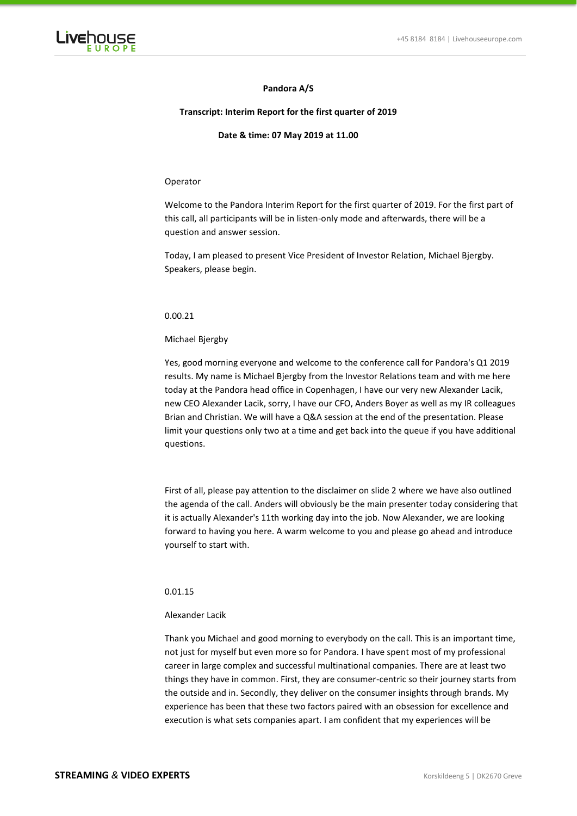

# **Pandora A/S**

# **Transcript: Interim Report for the first quarter of 2019**

### **Date & time: 07 May 2019 at 11.00**

### Operator

Welcome to the Pandora Interim Report for the first quarter of 2019. For the first part of this call, all participants will be in listen-only mode and afterwards, there will be a question and answer session.

Today, I am pleased to present Vice President of Investor Relation, Michael Bjergby. Speakers, please begin.

## 0.00.21

### Michael Bjergby

Yes, good morning everyone and welcome to the conference call for Pandora's Q1 2019 results. My name is Michael Bjergby from the Investor Relations team and with me here today at the Pandora head office in Copenhagen, I have our very new Alexander Lacik, new CEO Alexander Lacik, sorry, I have our CFO, Anders Boyer as well as my IR colleagues Brian and Christian. We will have a Q&A session at the end of the presentation. Please limit your questions only two at a time and get back into the queue if you have additional questions.

First of all, please pay attention to the disclaimer on slide 2 where we have also outlined the agenda of the call. Anders will obviously be the main presenter today considering that it is actually Alexander's 11th working day into the job. Now Alexander, we are looking forward to having you here. A warm welcome to you and please go ahead and introduce yourself to start with.

# 0.01.15

### Alexander Lacik

Thank you Michael and good morning to everybody on the call. This is an important time, not just for myself but even more so for Pandora. I have spent most of my professional career in large complex and successful multinational companies. There are at least two things they have in common. First, they are consumer-centric so their journey starts from the outside and in. Secondly, they deliver on the consumer insights through brands. My experience has been that these two factors paired with an obsession for excellence and execution is what sets companies apart. I am confident that my experiences will be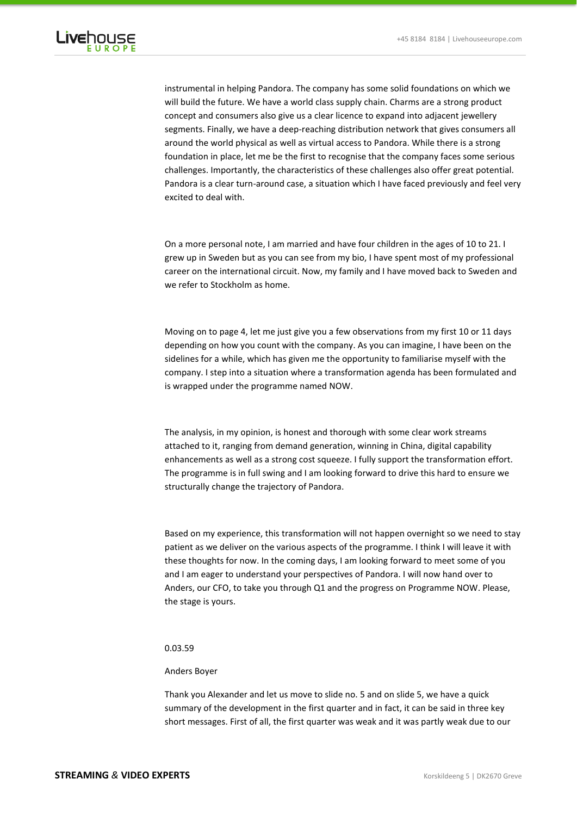

instrumental in helping Pandora. The company has some solid foundations on which we will build the future. We have a world class supply chain. Charms are a strong product concept and consumers also give us a clear licence to expand into adjacent jewellery segments. Finally, we have a deep-reaching distribution network that gives consumers all around the world physical as well as virtual access to Pandora. While there is a strong foundation in place, let me be the first to recognise that the company faces some serious challenges. Importantly, the characteristics of these challenges also offer great potential. Pandora is a clear turn-around case, a situation which I have faced previously and feel very excited to deal with.

# On a more personal note, I am married and have four children in the ages of 10 to 21. I grew up in Sweden but as you can see from my bio, I have spent most of my professional career on the international circuit. Now, my family and I have moved back to Sweden and we refer to Stockholm as home.

# Moving on to page 4, let me just give you a few observations from my first 10 or 11 days depending on how you count with the company. As you can imagine, I have been on the sidelines for a while, which has given me the opportunity to familiarise myself with the company. I step into a situation where a transformation agenda has been formulated and is wrapped under the programme named NOW.

The analysis, in my opinion, is honest and thorough with some clear work streams attached to it, ranging from demand generation, winning in China, digital capability enhancements as well as a strong cost squeeze. I fully support the transformation effort. The programme is in full swing and I am looking forward to drive this hard to ensure we structurally change the trajectory of Pandora.

Based on my experience, this transformation will not happen overnight so we need to stay patient as we deliver on the various aspects of the programme. I think I will leave it with these thoughts for now. In the coming days, I am looking forward to meet some of you and I am eager to understand your perspectives of Pandora. I will now hand over to Anders, our CFO, to take you through Q1 and the progress on Programme NOW. Please, the stage is yours.

# 0.03.59

#### Anders Boyer

Thank you Alexander and let us move to slide no. 5 and on slide 5, we have a quick summary of the development in the first quarter and in fact, it can be said in three key short messages. First of all, the first quarter was weak and it was partly weak due to our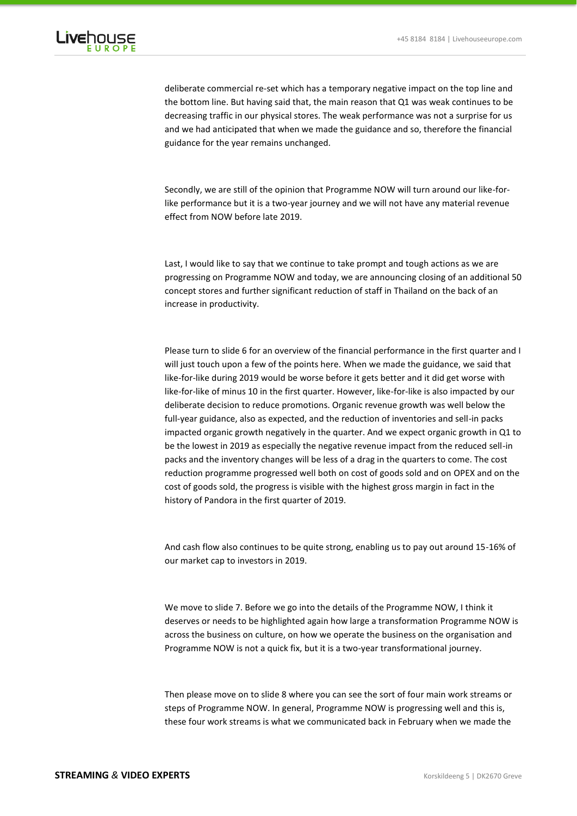

deliberate commercial re-set which has a temporary negative impact on the top line and the bottom line. But having said that, the main reason that Q1 was weak continues to be decreasing traffic in our physical stores. The weak performance was not a surprise for us and we had anticipated that when we made the guidance and so, therefore the financial guidance for the year remains unchanged.

Secondly, we are still of the opinion that Programme NOW will turn around our like-forlike performance but it is a two-year journey and we will not have any material revenue effect from NOW before late 2019.

Last, I would like to say that we continue to take prompt and tough actions as we are progressing on Programme NOW and today, we are announcing closing of an additional 50 concept stores and further significant reduction of staff in Thailand on the back of an increase in productivity.

Please turn to slide 6 for an overview of the financial performance in the first quarter and I will just touch upon a few of the points here. When we made the guidance, we said that like-for-like during 2019 would be worse before it gets better and it did get worse with like-for-like of minus 10 in the first quarter. However, like-for-like is also impacted by our deliberate decision to reduce promotions. Organic revenue growth was well below the full-year guidance, also as expected, and the reduction of inventories and sell-in packs impacted organic growth negatively in the quarter. And we expect organic growth in Q1 to be the lowest in 2019 as especially the negative revenue impact from the reduced sell-in packs and the inventory changes will be less of a drag in the quarters to come. The cost reduction programme progressed well both on cost of goods sold and on OPEX and on the cost of goods sold, the progress is visible with the highest gross margin in fact in the history of Pandora in the first quarter of 2019.

And cash flow also continues to be quite strong, enabling us to pay out around 15-16% of our market cap to investors in 2019.

We move to slide 7. Before we go into the details of the Programme NOW, I think it deserves or needs to be highlighted again how large a transformation Programme NOW is across the business on culture, on how we operate the business on the organisation and Programme NOW is not a quick fix, but it is a two-year transformational journey.

Then please move on to slide 8 where you can see the sort of four main work streams or steps of Programme NOW. In general, Programme NOW is progressing well and this is, these four work streams is what we communicated back in February when we made the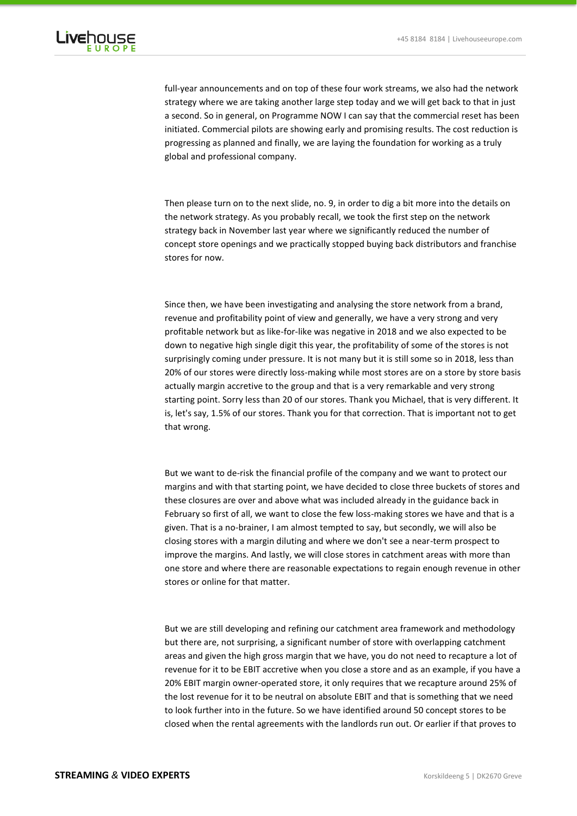

full-year announcements and on top of these four work streams, we also had the network strategy where we are taking another large step today and we will get back to that in just a second. So in general, on Programme NOW I can say that the commercial reset has been initiated. Commercial pilots are showing early and promising results. The cost reduction is progressing as planned and finally, we are laying the foundation for working as a truly global and professional company.

Then please turn on to the next slide, no. 9, in order to dig a bit more into the details on the network strategy. As you probably recall, we took the first step on the network strategy back in November last year where we significantly reduced the number of concept store openings and we practically stopped buying back distributors and franchise stores for now.

Since then, we have been investigating and analysing the store network from a brand, revenue and profitability point of view and generally, we have a very strong and very profitable network but as like-for-like was negative in 2018 and we also expected to be down to negative high single digit this year, the profitability of some of the stores is not surprisingly coming under pressure. It is not many but it is still some so in 2018, less than 20% of our stores were directly loss-making while most stores are on a store by store basis actually margin accretive to the group and that is a very remarkable and very strong starting point. Sorry less than 20 of our stores. Thank you Michael, that is very different. It is, let's say, 1.5% of our stores. Thank you for that correction. That is important not to get that wrong.

But we want to de-risk the financial profile of the company and we want to protect our margins and with that starting point, we have decided to close three buckets of stores and these closures are over and above what was included already in the guidance back in February so first of all, we want to close the few loss-making stores we have and that is a given. That is a no-brainer, I am almost tempted to say, but secondly, we will also be closing stores with a margin diluting and where we don't see a near-term prospect to improve the margins. And lastly, we will close stores in catchment areas with more than one store and where there are reasonable expectations to regain enough revenue in other stores or online for that matter.

But we are still developing and refining our catchment area framework and methodology but there are, not surprising, a significant number of store with overlapping catchment areas and given the high gross margin that we have, you do not need to recapture a lot of revenue for it to be EBIT accretive when you close a store and as an example, if you have a 20% EBIT margin owner-operated store, it only requires that we recapture around 25% of the lost revenue for it to be neutral on absolute EBIT and that is something that we need to look further into in the future. So we have identified around 50 concept stores to be closed when the rental agreements with the landlords run out. Or earlier if that proves to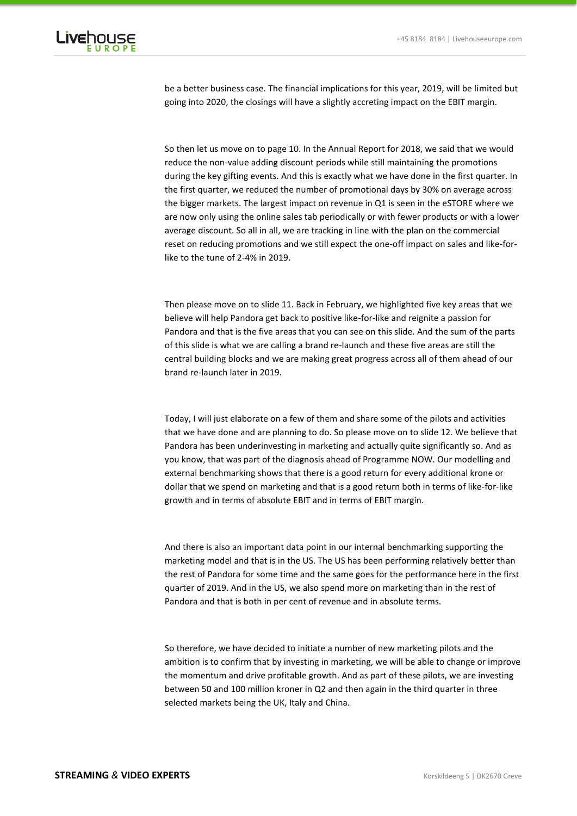

be a better business case. The financial implications for this year, 2019, will be limited but going into 2020, the closings will have a slightly accreting impact on the EBIT margin.

So then let us move on to page 10. In the Annual Report for 2018, we said that we would reduce the non-value adding discount periods while still maintaining the promotions during the key gifting events. And this is exactly what we have done in the first quarter. In the first quarter, we reduced the number of promotional days by 30% on average across the bigger markets. The largest impact on revenue in Q1 is seen in the eSTORE where we are now only using the online sales tab periodically or with fewer products or with a lower average discount. So all in all, we are tracking in line with the plan on the commercial reset on reducing promotions and we still expect the one-off impact on sales and like-forlike to the tune of 2-4% in 2019.

Then please move on to slide 11. Back in February, we highlighted five key areas that we believe will help Pandora get back to positive like-for-like and reignite a passion for Pandora and that is the five areas that you can see on this slide. And the sum of the parts of this slide is what we are calling a brand re-launch and these five areas are still the central building blocks and we are making great progress across all of them ahead of our brand re-launch later in 2019.

Today, I will just elaborate on a few of them and share some of the pilots and activities that we have done and are planning to do. So please move on to slide 12. We believe that Pandora has been underinvesting in marketing and actually quite significantly so. And as you know, that was part of the diagnosis ahead of Programme NOW. Our modelling and external benchmarking shows that there is a good return for every additional krone or dollar that we spend on marketing and that is a good return both in terms of like-for-like growth and in terms of absolute EBIT and in terms of EBIT margin.

And there is also an important data point in our internal benchmarking supporting the marketing model and that is in the US. The US has been performing relatively better than the rest of Pandora for some time and the same goes for the performance here in the first quarter of 2019. And in the US, we also spend more on marketing than in the rest of Pandora and that is both in per cent of revenue and in absolute terms.

So therefore, we have decided to initiate a number of new marketing pilots and the ambition is to confirm that by investing in marketing, we will be able to change or improve the momentum and drive profitable growth. And as part of these pilots, we are investing between 50 and 100 million kroner in Q2 and then again in the third quarter in three selected markets being the UK, Italy and China.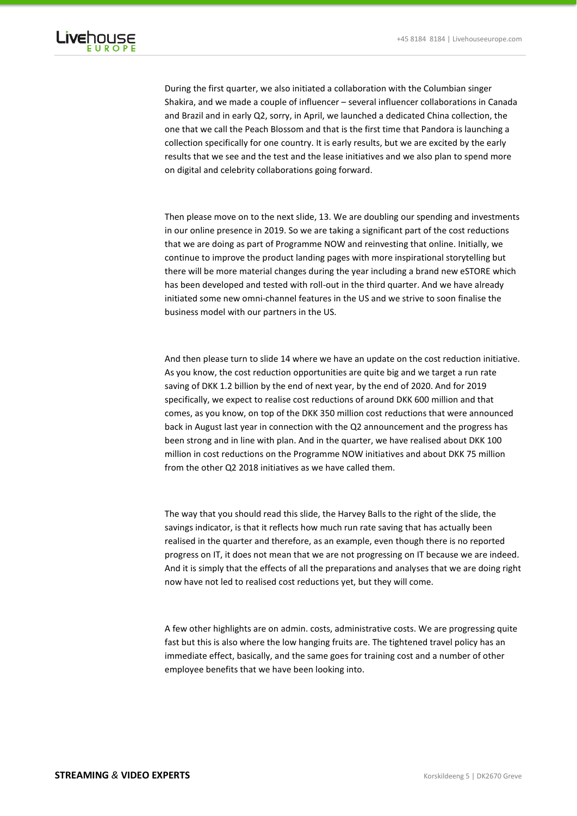

During the first quarter, we also initiated a collaboration with the Columbian singer Shakira, and we made a couple of influencer – several influencer collaborations in Canada and Brazil and in early Q2, sorry, in April, we launched a dedicated China collection, the one that we call the Peach Blossom and that is the first time that Pandora is launching a collection specifically for one country. It is early results, but we are excited by the early results that we see and the test and the lease initiatives and we also plan to spend more on digital and celebrity collaborations going forward.

Then please move on to the next slide, 13. We are doubling our spending and investments in our online presence in 2019. So we are taking a significant part of the cost reductions that we are doing as part of Programme NOW and reinvesting that online. Initially, we continue to improve the product landing pages with more inspirational storytelling but there will be more material changes during the year including a brand new eSTORE which has been developed and tested with roll-out in the third quarter. And we have already initiated some new omni-channel features in the US and we strive to soon finalise the business model with our partners in the US.

And then please turn to slide 14 where we have an update on the cost reduction initiative. As you know, the cost reduction opportunities are quite big and we target a run rate saving of DKK 1.2 billion by the end of next year, by the end of 2020. And for 2019 specifically, we expect to realise cost reductions of around DKK 600 million and that comes, as you know, on top of the DKK 350 million cost reductions that were announced back in August last year in connection with the Q2 announcement and the progress has been strong and in line with plan. And in the quarter, we have realised about DKK 100 million in cost reductions on the Programme NOW initiatives and about DKK 75 million from the other Q2 2018 initiatives as we have called them.

The way that you should read this slide, the Harvey Balls to the right of the slide, the savings indicator, is that it reflects how much run rate saving that has actually been realised in the quarter and therefore, as an example, even though there is no reported progress on IT, it does not mean that we are not progressing on IT because we are indeed. And it is simply that the effects of all the preparations and analyses that we are doing right now have not led to realised cost reductions yet, but they will come.

A few other highlights are on admin. costs, administrative costs. We are progressing quite fast but this is also where the low hanging fruits are. The tightened travel policy has an immediate effect, basically, and the same goes for training cost and a number of other employee benefits that we have been looking into.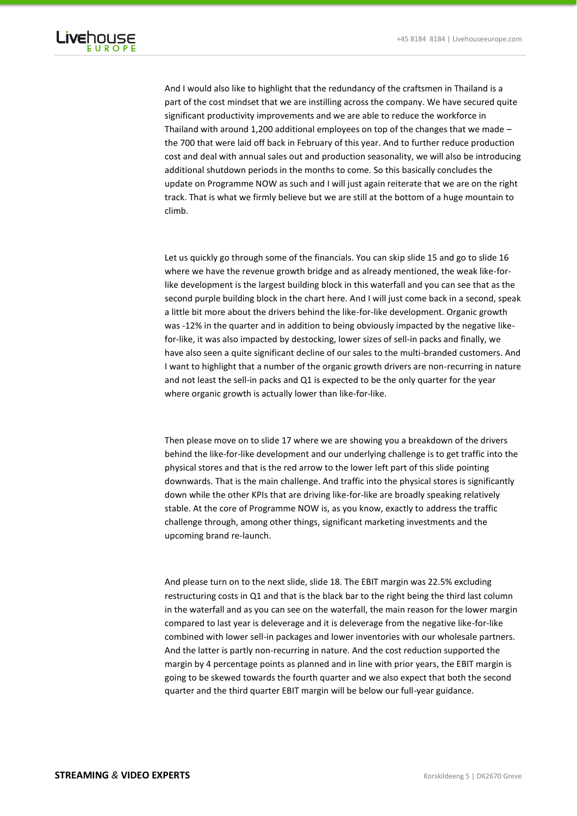

And I would also like to highlight that the redundancy of the craftsmen in Thailand is a part of the cost mindset that we are instilling across the company. We have secured quite significant productivity improvements and we are able to reduce the workforce in Thailand with around 1,200 additional employees on top of the changes that we made – the 700 that were laid off back in February of this year. And to further reduce production cost and deal with annual sales out and production seasonality, we will also be introducing additional shutdown periods in the months to come. So this basically concludes the update on Programme NOW as such and I will just again reiterate that we are on the right track. That is what we firmly believe but we are still at the bottom of a huge mountain to climb.

Let us quickly go through some of the financials. You can skip slide 15 and go to slide 16 where we have the revenue growth bridge and as already mentioned, the weak like-forlike development is the largest building block in this waterfall and you can see that as the second purple building block in the chart here. And I will just come back in a second, speak a little bit more about the drivers behind the like-for-like development. Organic growth was -12% in the quarter and in addition to being obviously impacted by the negative likefor-like, it was also impacted by destocking, lower sizes of sell-in packs and finally, we have also seen a quite significant decline of our sales to the multi-branded customers. And I want to highlight that a number of the organic growth drivers are non-recurring in nature and not least the sell-in packs and Q1 is expected to be the only quarter for the year where organic growth is actually lower than like-for-like.

Then please move on to slide 17 where we are showing you a breakdown of the drivers behind the like-for-like development and our underlying challenge is to get traffic into the physical stores and that is the red arrow to the lower left part of this slide pointing downwards. That is the main challenge. And traffic into the physical stores is significantly down while the other KPIs that are driving like-for-like are broadly speaking relatively stable. At the core of Programme NOW is, as you know, exactly to address the traffic challenge through, among other things, significant marketing investments and the upcoming brand re-launch.

And please turn on to the next slide, slide 18. The EBIT margin was 22.5% excluding restructuring costs in Q1 and that is the black bar to the right being the third last column in the waterfall and as you can see on the waterfall, the main reason for the lower margin compared to last year is deleverage and it is deleverage from the negative like-for-like combined with lower sell-in packages and lower inventories with our wholesale partners. And the latter is partly non-recurring in nature. And the cost reduction supported the margin by 4 percentage points as planned and in line with prior years, the EBIT margin is going to be skewed towards the fourth quarter and we also expect that both the second quarter and the third quarter EBIT margin will be below our full-year guidance.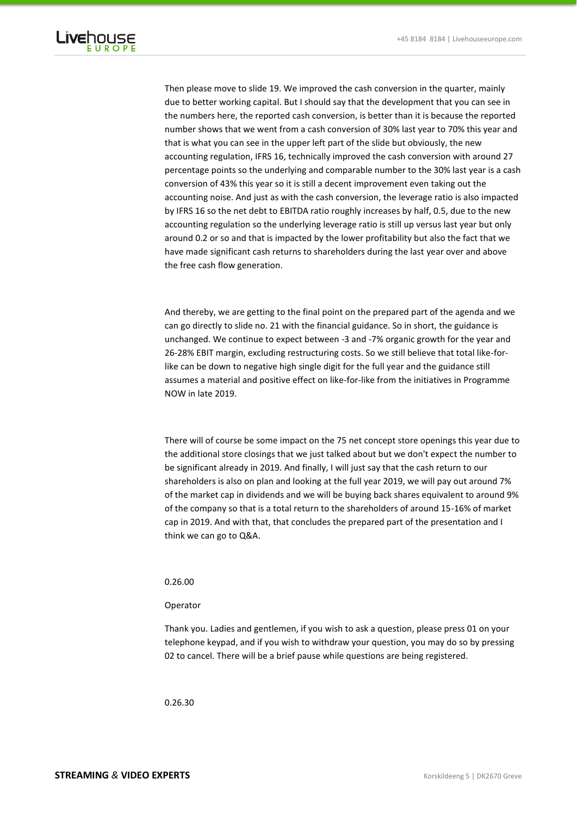

Then please move to slide 19. We improved the cash conversion in the quarter, mainly due to better working capital. But I should say that the development that you can see in the numbers here, the reported cash conversion, is better than it is because the reported number shows that we went from a cash conversion of 30% last year to 70% this year and that is what you can see in the upper left part of the slide but obviously, the new accounting regulation, IFRS 16, technically improved the cash conversion with around 27 percentage points so the underlying and comparable number to the 30% last year is a cash conversion of 43% this year so it is still a decent improvement even taking out the accounting noise. And just as with the cash conversion, the leverage ratio is also impacted by IFRS 16 so the net debt to EBITDA ratio roughly increases by half, 0.5, due to the new accounting regulation so the underlying leverage ratio is still up versus last year but only around 0.2 or so and that is impacted by the lower profitability but also the fact that we have made significant cash returns to shareholders during the last year over and above the free cash flow generation.

And thereby, we are getting to the final point on the prepared part of the agenda and we can go directly to slide no. 21 with the financial guidance. So in short, the guidance is unchanged. We continue to expect between -3 and -7% organic growth for the year and 26-28% EBIT margin, excluding restructuring costs. So we still believe that total like-forlike can be down to negative high single digit for the full year and the guidance still assumes a material and positive effect on like-for-like from the initiatives in Programme NOW in late 2019.

There will of course be some impact on the 75 net concept store openings this year due to the additional store closings that we just talked about but we don't expect the number to be significant already in 2019. And finally, I will just say that the cash return to our shareholders is also on plan and looking at the full year 2019, we will pay out around 7% of the market cap in dividends and we will be buying back shares equivalent to around 9% of the company so that is a total return to the shareholders of around 15-16% of market cap in 2019. And with that, that concludes the prepared part of the presentation and I think we can go to Q&A.

#### 0.26.00

#### Operator

Thank you. Ladies and gentlemen, if you wish to ask a question, please press 01 on your telephone keypad, and if you wish to withdraw your question, you may do so by pressing 02 to cancel. There will be a brief pause while questions are being registered.

0.26.30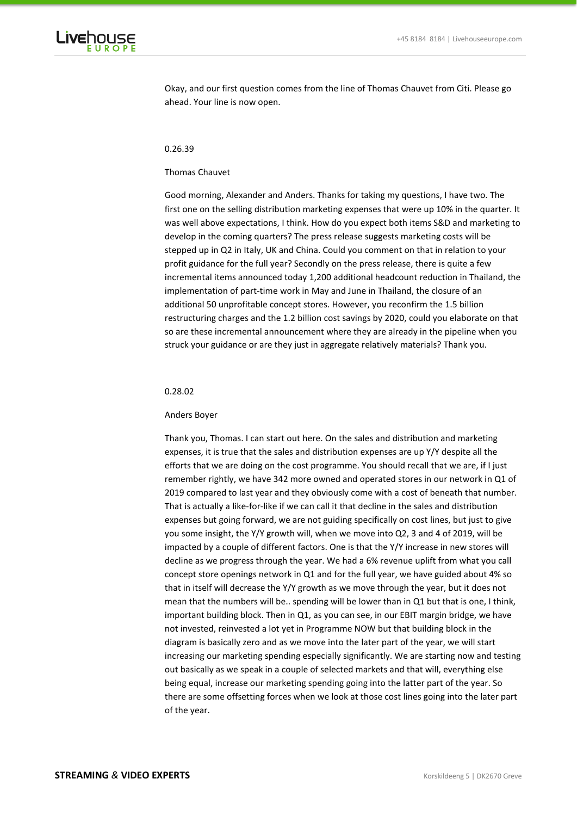

Okay, and our first question comes from the line of Thomas Chauvet from Citi. Please go ahead. Your line is now open.

#### 0.26.39

### Thomas Chauvet

Good morning, Alexander and Anders. Thanks for taking my questions, I have two. The first one on the selling distribution marketing expenses that were up 10% in the quarter. It was well above expectations, I think. How do you expect both items S&D and marketing to develop in the coming quarters? The press release suggests marketing costs will be stepped up in Q2 in Italy, UK and China. Could you comment on that in relation to your profit guidance for the full year? Secondly on the press release, there is quite a few incremental items announced today 1,200 additional headcount reduction in Thailand, the implementation of part-time work in May and June in Thailand, the closure of an additional 50 unprofitable concept stores. However, you reconfirm the 1.5 billion restructuring charges and the 1.2 billion cost savings by 2020, could you elaborate on that so are these incremental announcement where they are already in the pipeline when you struck your guidance or are they just in aggregate relatively materials? Thank you.

#### 0.28.02

#### Anders Boyer

Thank you, Thomas. I can start out here. On the sales and distribution and marketing expenses, it is true that the sales and distribution expenses are up Y/Y despite all the efforts that we are doing on the cost programme. You should recall that we are, if I just remember rightly, we have 342 more owned and operated stores in our network in Q1 of 2019 compared to last year and they obviously come with a cost of beneath that number. That is actually a like-for-like if we can call it that decline in the sales and distribution expenses but going forward, we are not guiding specifically on cost lines, but just to give you some insight, the Y/Y growth will, when we move into Q2, 3 and 4 of 2019, will be impacted by a couple of different factors. One is that the Y/Y increase in new stores will decline as we progress through the year. We had a 6% revenue uplift from what you call concept store openings network in Q1 and for the full year, we have guided about 4% so that in itself will decrease the Y/Y growth as we move through the year, but it does not mean that the numbers will be.. spending will be lower than in Q1 but that is one, I think, important building block. Then in Q1, as you can see, in our EBIT margin bridge, we have not invested, reinvested a lot yet in Programme NOW but that building block in the diagram is basically zero and as we move into the later part of the year, we will start increasing our marketing spending especially significantly. We are starting now and testing out basically as we speak in a couple of selected markets and that will, everything else being equal, increase our marketing spending going into the latter part of the year. So there are some offsetting forces when we look at those cost lines going into the later part of the year.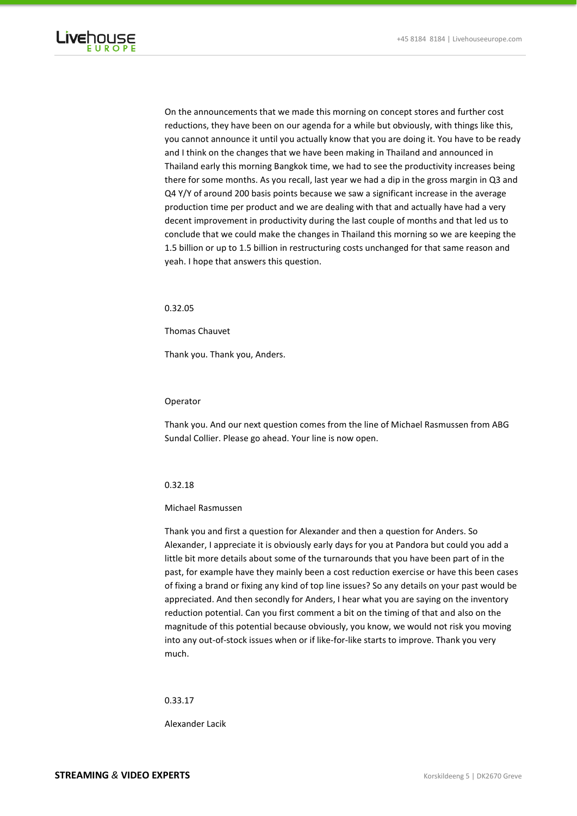

On the announcements that we made this morning on concept stores and further cost reductions, they have been on our agenda for a while but obviously, with things like this, you cannot announce it until you actually know that you are doing it. You have to be ready and I think on the changes that we have been making in Thailand and announced in Thailand early this morning Bangkok time, we had to see the productivity increases being there for some months. As you recall, last year we had a dip in the gross margin in Q3 and Q4 Y/Y of around 200 basis points because we saw a significant increase in the average production time per product and we are dealing with that and actually have had a very decent improvement in productivity during the last couple of months and that led us to conclude that we could make the changes in Thailand this morning so we are keeping the 1.5 billion or up to 1.5 billion in restructuring costs unchanged for that same reason and yeah. I hope that answers this question.

# 0.32.05

Thomas Chauvet

Thank you. Thank you, Anders.

#### Operator

Thank you. And our next question comes from the line of Michael Rasmussen from ABG Sundal Collier. Please go ahead. Your line is now open.

## 0.32.18

### Michael Rasmussen

Thank you and first a question for Alexander and then a question for Anders. So Alexander, I appreciate it is obviously early days for you at Pandora but could you add a little bit more details about some of the turnarounds that you have been part of in the past, for example have they mainly been a cost reduction exercise or have this been cases of fixing a brand or fixing any kind of top line issues? So any details on your past would be appreciated. And then secondly for Anders, I hear what you are saying on the inventory reduction potential. Can you first comment a bit on the timing of that and also on the magnitude of this potential because obviously, you know, we would not risk you moving into any out-of-stock issues when or if like-for-like starts to improve. Thank you very much.

0.33.17

Alexander Lacik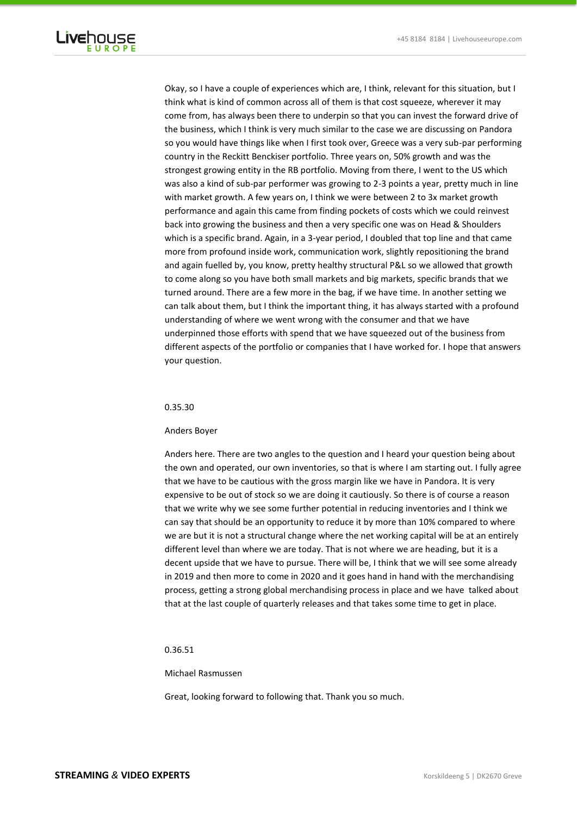

Okay, so I have a couple of experiences which are, I think, relevant for this situation, but I think what is kind of common across all of them is that cost squeeze, wherever it may come from, has always been there to underpin so that you can invest the forward drive of the business, which I think is very much similar to the case we are discussing on Pandora so you would have things like when I first took over, Greece was a very sub-par performing country in the Reckitt Benckiser portfolio. Three years on, 50% growth and was the strongest growing entity in the RB portfolio. Moving from there, I went to the US which was also a kind of sub-par performer was growing to 2-3 points a year, pretty much in line with market growth. A few years on, I think we were between 2 to 3x market growth performance and again this came from finding pockets of costs which we could reinvest back into growing the business and then a very specific one was on Head & Shoulders which is a specific brand. Again, in a 3-year period, I doubled that top line and that came more from profound inside work, communication work, slightly repositioning the brand and again fuelled by, you know, pretty healthy structural P&L so we allowed that growth to come along so you have both small markets and big markets, specific brands that we turned around. There are a few more in the bag, if we have time. In another setting we can talk about them, but I think the important thing, it has always started with a profound understanding of where we went wrong with the consumer and that we have underpinned those efforts with spend that we have squeezed out of the business from different aspects of the portfolio or companies that I have worked for. I hope that answers your question.

#### 0.35.30

#### Anders Boyer

Anders here. There are two angles to the question and I heard your question being about the own and operated, our own inventories, so that is where I am starting out. I fully agree that we have to be cautious with the gross margin like we have in Pandora. It is very expensive to be out of stock so we are doing it cautiously. So there is of course a reason that we write why we see some further potential in reducing inventories and I think we can say that should be an opportunity to reduce it by more than 10% compared to where we are but it is not a structural change where the net working capital will be at an entirely different level than where we are today. That is not where we are heading, but it is a decent upside that we have to pursue. There will be, I think that we will see some already in 2019 and then more to come in 2020 and it goes hand in hand with the merchandising process, getting a strong global merchandising process in place and we have talked about that at the last couple of quarterly releases and that takes some time to get in place.

### 0.36.51

### Michael Rasmussen

Great, looking forward to following that. Thank you so much.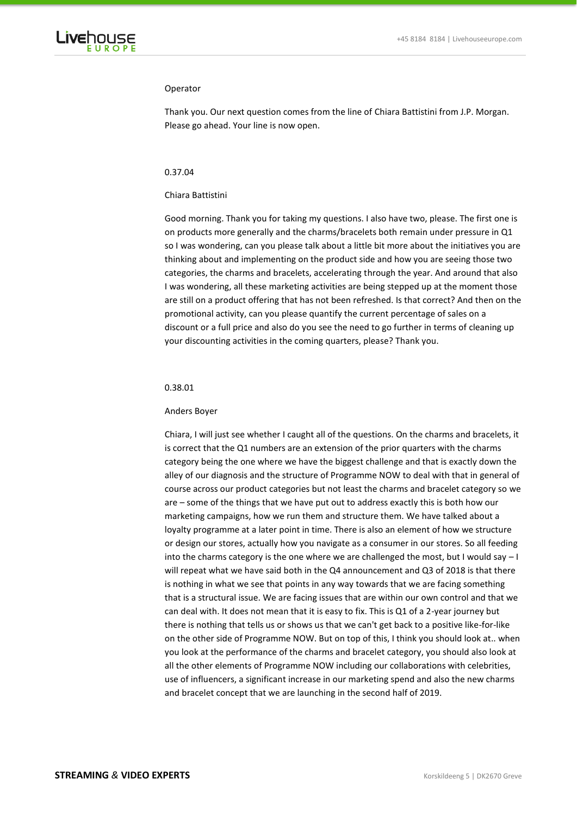

### Operator

Thank you. Our next question comes from the line of Chiara Battistini from J.P. Morgan. Please go ahead. Your line is now open.

### 0.37.04

### Chiara Battistini

Good morning. Thank you for taking my questions. I also have two, please. The first one is on products more generally and the charms/bracelets both remain under pressure in Q1 so I was wondering, can you please talk about a little bit more about the initiatives you are thinking about and implementing on the product side and how you are seeing those two categories, the charms and bracelets, accelerating through the year. And around that also I was wondering, all these marketing activities are being stepped up at the moment those are still on a product offering that has not been refreshed. Is that correct? And then on the promotional activity, can you please quantify the current percentage of sales on a discount or a full price and also do you see the need to go further in terms of cleaning up your discounting activities in the coming quarters, please? Thank you.

### 0.38.01

#### Anders Boyer

Chiara, I will just see whether I caught all of the questions. On the charms and bracelets, it is correct that the Q1 numbers are an extension of the prior quarters with the charms category being the one where we have the biggest challenge and that is exactly down the alley of our diagnosis and the structure of Programme NOW to deal with that in general of course across our product categories but not least the charms and bracelet category so we are – some of the things that we have put out to address exactly this is both how our marketing campaigns, how we run them and structure them. We have talked about a loyalty programme at a later point in time. There is also an element of how we structure or design our stores, actually how you navigate as a consumer in our stores. So all feeding into the charms category is the one where we are challenged the most, but I would say  $-1$ will repeat what we have said both in the Q4 announcement and Q3 of 2018 is that there is nothing in what we see that points in any way towards that we are facing something that is a structural issue. We are facing issues that are within our own control and that we can deal with. It does not mean that it is easy to fix. This is Q1 of a 2-year journey but there is nothing that tells us or shows us that we can't get back to a positive like-for-like on the other side of Programme NOW. But on top of this, I think you should look at.. when you look at the performance of the charms and bracelet category, you should also look at all the other elements of Programme NOW including our collaborations with celebrities, use of influencers, a significant increase in our marketing spend and also the new charms and bracelet concept that we are launching in the second half of 2019.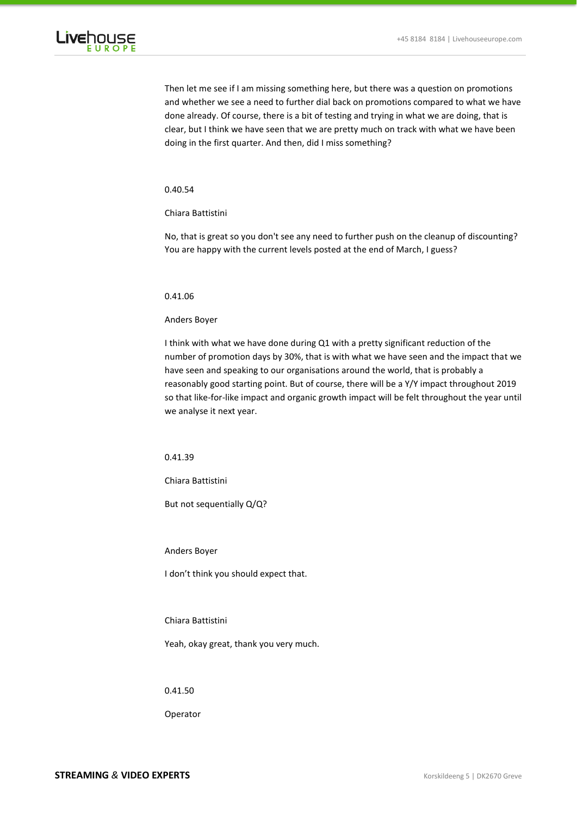

Then let me see if I am missing something here, but there was a question on promotions and whether we see a need to further dial back on promotions compared to what we have done already. Of course, there is a bit of testing and trying in what we are doing, that is clear, but I think we have seen that we are pretty much on track with what we have been doing in the first quarter. And then, did I miss something?

### 0.40.54

# Chiara Battistini

No, that is great so you don't see any need to further push on the cleanup of discounting? You are happy with the current levels posted at the end of March, I guess?

### 0.41.06

### Anders Boyer

I think with what we have done during Q1 with a pretty significant reduction of the number of promotion days by 30%, that is with what we have seen and the impact that we have seen and speaking to our organisations around the world, that is probably a reasonably good starting point. But of course, there will be a Y/Y impact throughout 2019 so that like-for-like impact and organic growth impact will be felt throughout the year until we analyse it next year.

# 0.41.39

Chiara Battistini

But not sequentially Q/Q?

#### Anders Boyer

I don't think you should expect that.

### Chiara Battistini

Yeah, okay great, thank you very much.

### 0.41.50

Operator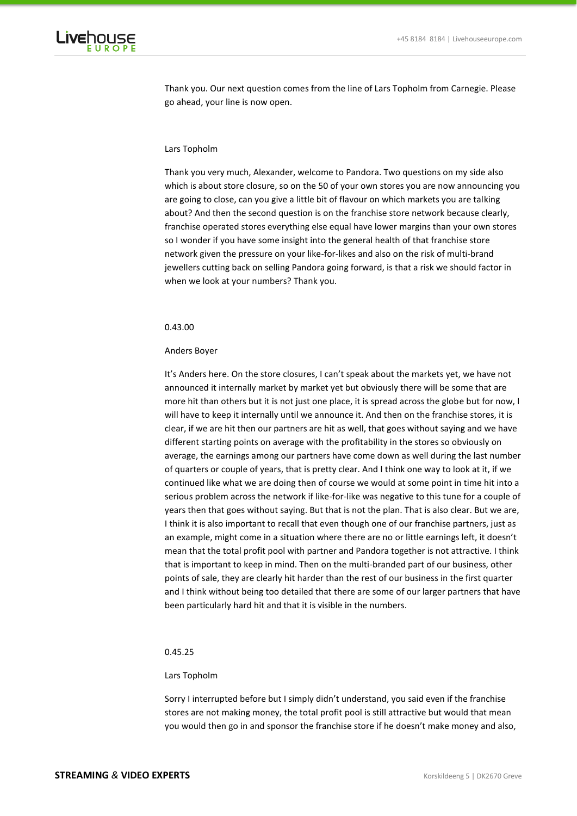

Thank you. Our next question comes from the line of Lars Topholm from Carnegie. Please go ahead, your line is now open.

### Lars Topholm

Thank you very much, Alexander, welcome to Pandora. Two questions on my side also which is about store closure, so on the 50 of your own stores you are now announcing you are going to close, can you give a little bit of flavour on which markets you are talking about? And then the second question is on the franchise store network because clearly, franchise operated stores everything else equal have lower margins than your own stores so I wonder if you have some insight into the general health of that franchise store network given the pressure on your like-for-likes and also on the risk of multi-brand jewellers cutting back on selling Pandora going forward, is that a risk we should factor in when we look at your numbers? Thank you.

### 0.43.00

#### Anders Boyer

It's Anders here. On the store closures, I can't speak about the markets yet, we have not announced it internally market by market yet but obviously there will be some that are more hit than others but it is not just one place, it is spread across the globe but for now, I will have to keep it internally until we announce it. And then on the franchise stores, it is clear, if we are hit then our partners are hit as well, that goes without saying and we have different starting points on average with the profitability in the stores so obviously on average, the earnings among our partners have come down as well during the last number of quarters or couple of years, that is pretty clear. And I think one way to look at it, if we continued like what we are doing then of course we would at some point in time hit into a serious problem across the network if like-for-like was negative to this tune for a couple of years then that goes without saying. But that is not the plan. That is also clear. But we are, I think it is also important to recall that even though one of our franchise partners, just as an example, might come in a situation where there are no or little earnings left, it doesn't mean that the total profit pool with partner and Pandora together is not attractive. I think that is important to keep in mind. Then on the multi-branded part of our business, other points of sale, they are clearly hit harder than the rest of our business in the first quarter and I think without being too detailed that there are some of our larger partners that have been particularly hard hit and that it is visible in the numbers.

### 0.45.25

### Lars Topholm

Sorry I interrupted before but I simply didn't understand, you said even if the franchise stores are not making money, the total profit pool is still attractive but would that mean you would then go in and sponsor the franchise store if he doesn't make money and also,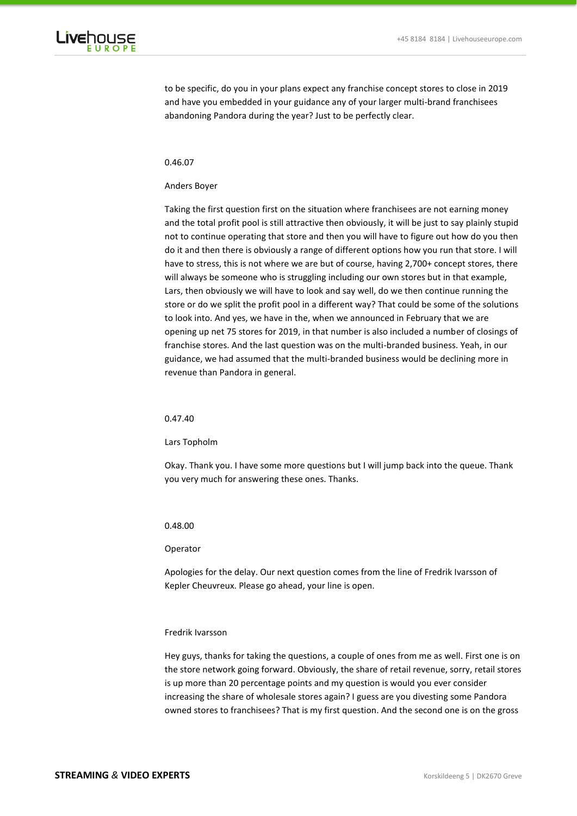

to be specific, do you in your plans expect any franchise concept stores to close in 2019 and have you embedded in your guidance any of your larger multi-brand franchisees abandoning Pandora during the year? Just to be perfectly clear.

#### 0.46.07

### Anders Boyer

Taking the first question first on the situation where franchisees are not earning money and the total profit pool is still attractive then obviously, it will be just to say plainly stupid not to continue operating that store and then you will have to figure out how do you then do it and then there is obviously a range of different options how you run that store. I will have to stress, this is not where we are but of course, having 2,700+ concept stores, there will always be someone who is struggling including our own stores but in that example, Lars, then obviously we will have to look and say well, do we then continue running the store or do we split the profit pool in a different way? That could be some of the solutions to look into. And yes, we have in the, when we announced in February that we are opening up net 75 stores for 2019, in that number is also included a number of closings of franchise stores. And the last question was on the multi-branded business. Yeah, in our guidance, we had assumed that the multi-branded business would be declining more in revenue than Pandora in general.

## 0.47.40

#### Lars Topholm

Okay. Thank you. I have some more questions but I will jump back into the queue. Thank you very much for answering these ones. Thanks.

### 0.48.00

#### Operator

Apologies for the delay. Our next question comes from the line of Fredrik Ivarsson of Kepler Cheuvreux. Please go ahead, your line is open.

### Fredrik Ivarsson

Hey guys, thanks for taking the questions, a couple of ones from me as well. First one is on the store network going forward. Obviously, the share of retail revenue, sorry, retail stores is up more than 20 percentage points and my question is would you ever consider increasing the share of wholesale stores again? I guess are you divesting some Pandora owned stores to franchisees? That is my first question. And the second one is on the gross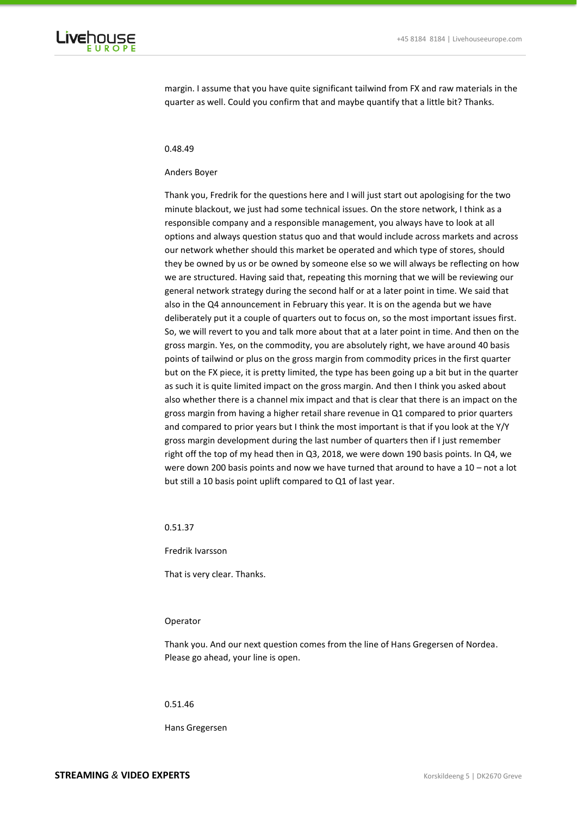

margin. I assume that you have quite significant tailwind from FX and raw materials in the quarter as well. Could you confirm that and maybe quantify that a little bit? Thanks.

#### 0.48.49

#### Anders Boyer

Thank you, Fredrik for the questions here and I will just start out apologising for the two minute blackout, we just had some technical issues. On the store network, I think as a responsible company and a responsible management, you always have to look at all options and always question status quo and that would include across markets and across our network whether should this market be operated and which type of stores, should they be owned by us or be owned by someone else so we will always be reflecting on how we are structured. Having said that, repeating this morning that we will be reviewing our general network strategy during the second half or at a later point in time. We said that also in the Q4 announcement in February this year. It is on the agenda but we have deliberately put it a couple of quarters out to focus on, so the most important issues first. So, we will revert to you and talk more about that at a later point in time. And then on the gross margin. Yes, on the commodity, you are absolutely right, we have around 40 basis points of tailwind or plus on the gross margin from commodity prices in the first quarter but on the FX piece, it is pretty limited, the type has been going up a bit but in the quarter as such it is quite limited impact on the gross margin. And then I think you asked about also whether there is a channel mix impact and that is clear that there is an impact on the gross margin from having a higher retail share revenue in Q1 compared to prior quarters and compared to prior years but I think the most important is that if you look at the Y/Y gross margin development during the last number of quarters then if I just remember right off the top of my head then in Q3, 2018, we were down 190 basis points. In Q4, we were down 200 basis points and now we have turned that around to have a 10 – not a lot but still a 10 basis point uplift compared to Q1 of last year.

0.51.37

Fredrik Ivarsson

That is very clear. Thanks.

### Operator

Thank you. And our next question comes from the line of Hans Gregersen of Nordea. Please go ahead, your line is open.

### 0.51.46

Hans Gregersen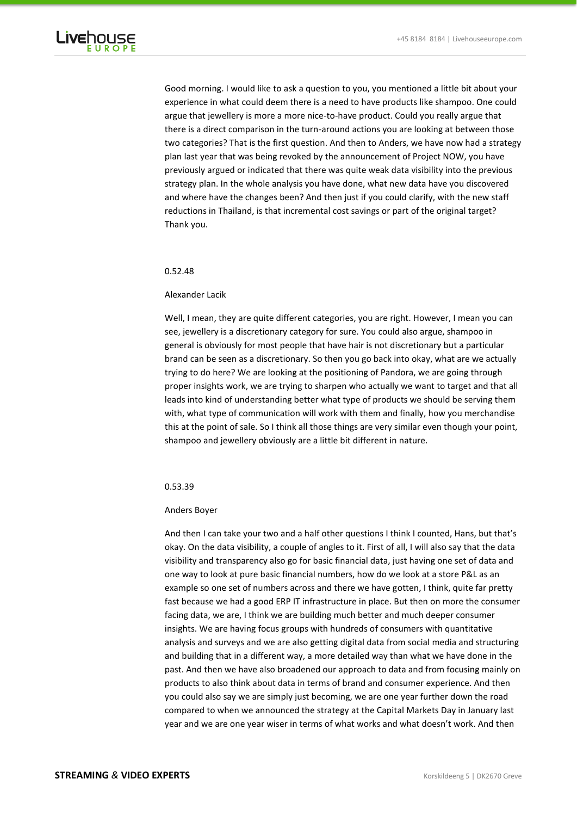

Good morning. I would like to ask a question to you, you mentioned a little bit about your experience in what could deem there is a need to have products like shampoo. One could argue that jewellery is more a more nice-to-have product. Could you really argue that there is a direct comparison in the turn-around actions you are looking at between those two categories? That is the first question. And then to Anders, we have now had a strategy plan last year that was being revoked by the announcement of Project NOW, you have previously argued or indicated that there was quite weak data visibility into the previous strategy plan. In the whole analysis you have done, what new data have you discovered and where have the changes been? And then just if you could clarify, with the new staff reductions in Thailand, is that incremental cost savings or part of the original target? Thank you.

# 0.52.48

# Alexander Lacik

Well, I mean, they are quite different categories, you are right. However, I mean you can see, jewellery is a discretionary category for sure. You could also argue, shampoo in general is obviously for most people that have hair is not discretionary but a particular brand can be seen as a discretionary. So then you go back into okay, what are we actually trying to do here? We are looking at the positioning of Pandora, we are going through proper insights work, we are trying to sharpen who actually we want to target and that all leads into kind of understanding better what type of products we should be serving them with, what type of communication will work with them and finally, how you merchandise this at the point of sale. So I think all those things are very similar even though your point, shampoo and jewellery obviously are a little bit different in nature.

### 0.53.39

#### Anders Boyer

And then I can take your two and a half other questions I think I counted, Hans, but that's okay. On the data visibility, a couple of angles to it. First of all, I will also say that the data visibility and transparency also go for basic financial data, just having one set of data and one way to look at pure basic financial numbers, how do we look at a store P&L as an example so one set of numbers across and there we have gotten, I think, quite far pretty fast because we had a good ERP IT infrastructure in place. But then on more the consumer facing data, we are, I think we are building much better and much deeper consumer insights. We are having focus groups with hundreds of consumers with quantitative analysis and surveys and we are also getting digital data from social media and structuring and building that in a different way, a more detailed way than what we have done in the past. And then we have also broadened our approach to data and from focusing mainly on products to also think about data in terms of brand and consumer experience. And then you could also say we are simply just becoming, we are one year further down the road compared to when we announced the strategy at the Capital Markets Day in January last year and we are one year wiser in terms of what works and what doesn't work. And then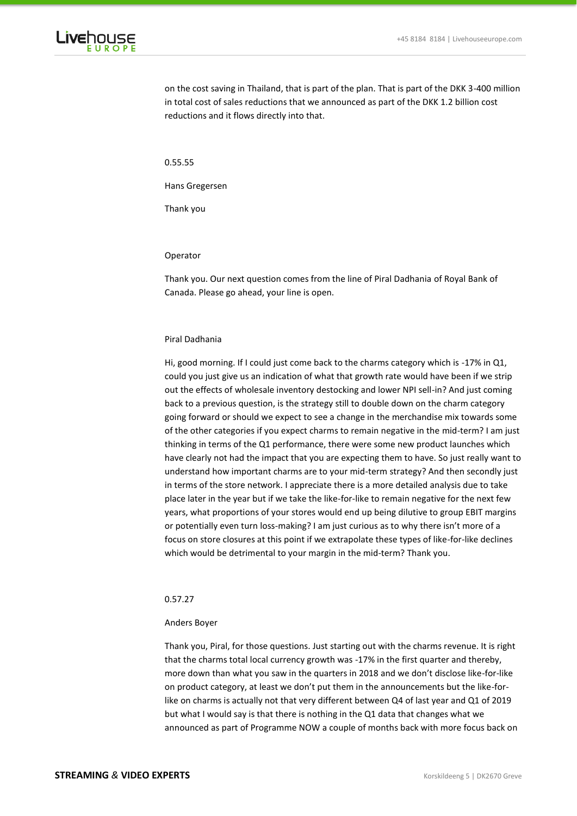

on the cost saving in Thailand, that is part of the plan. That is part of the DKK 3-400 million in total cost of sales reductions that we announced as part of the DKK 1.2 billion cost reductions and it flows directly into that.

0.55.55

Hans Gregersen

Thank you

#### Operator

Thank you. Our next question comes from the line of Piral Dadhania of Royal Bank of Canada. Please go ahead, your line is open.

#### Piral Dadhania

Hi, good morning. If I could just come back to the charms category which is -17% in Q1, could you just give us an indication of what that growth rate would have been if we strip out the effects of wholesale inventory destocking and lower NPI sell-in? And just coming back to a previous question, is the strategy still to double down on the charm category going forward or should we expect to see a change in the merchandise mix towards some of the other categories if you expect charms to remain negative in the mid-term? I am just thinking in terms of the Q1 performance, there were some new product launches which have clearly not had the impact that you are expecting them to have. So just really want to understand how important charms are to your mid-term strategy? And then secondly just in terms of the store network. I appreciate there is a more detailed analysis due to take place later in the year but if we take the like-for-like to remain negative for the next few years, what proportions of your stores would end up being dilutive to group EBIT margins or potentially even turn loss-making? I am just curious as to why there isn't more of a focus on store closures at this point if we extrapolate these types of like-for-like declines which would be detrimental to your margin in the mid-term? Thank you.

# 0.57.27

### Anders Boyer

Thank you, Piral, for those questions. Just starting out with the charms revenue. It is right that the charms total local currency growth was -17% in the first quarter and thereby, more down than what you saw in the quarters in 2018 and we don't disclose like-for-like on product category, at least we don't put them in the announcements but the like-forlike on charms is actually not that very different between Q4 of last year and Q1 of 2019 but what I would say is that there is nothing in the Q1 data that changes what we announced as part of Programme NOW a couple of months back with more focus back on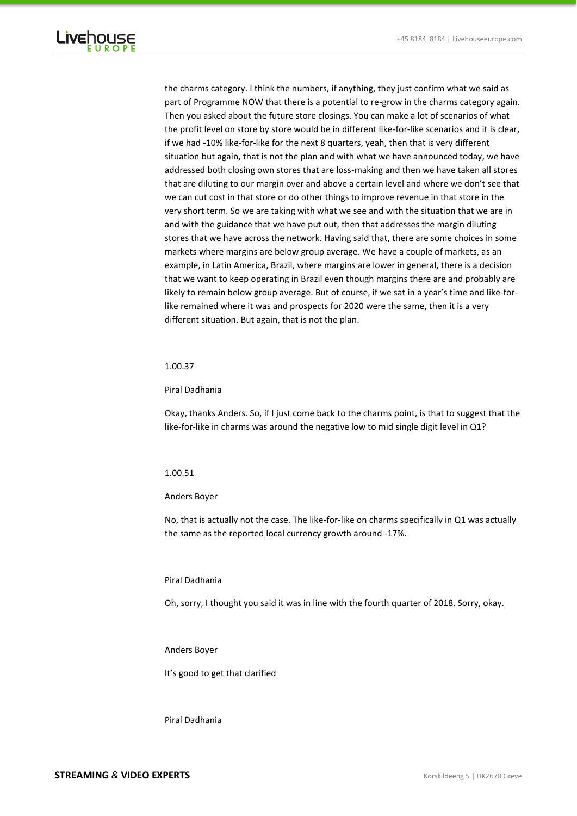

the charms category. I think the numbers, if anything, they just confirm what we said as part of Programme NOW that there is a potential to re-grow in the charms category again. Then you asked about the future store closings. You can make a lot of scenarios of what the profit level on store by store would be in different like-for-like scenarios and it is clear, if we had -10% like-for-like for the next 8 quarters, yeah, then that is very different situation but again, that is not the plan and with what we have announced today, we have addressed both closing own stores that are loss-making and then we have taken all stores that are diluting to our margin over and above a certain level and where we don't see that we can cut cost in that store or do other things to improve revenue in that store in the very short term. So we are taking with what we see and with the situation that we are in and with the guidance that we have put out, then that addresses the margin diluting stores that we have across the network. Having said that, there are some choices in some markets where margins are below group average. We have a couple of markets, as an example, in Latin America, Brazil, where margins are lower in general, there is a decision that we want to keep operating in Brazil even though margins there are and probably are likely to remain below group average. But of course, if we sat in a year's time and like-forlike remained where it was and prospects for 2020 were the same, then it is a very different situation. But again, that is not the plan.

### 1.00.37

Piral Dadhania

Okay, thanks Anders. So, if I just come back to the charms point, is that to suggest that the like-for-like in charms was around the negative low to mid single digit level in Q1?

# 1.00.51

#### Anders Boyer

No, that is actually not the case. The like-for-like on charms specifically in Q1 was actually the same as the reported local currency growth around -17%.

### Piral Dadhania

Oh, sorry, I thought you said it was in line with the fourth quarter of 2018. Sorry, okay.

#### Anders Boyer

It's good to get that clarified

Piral Dadhania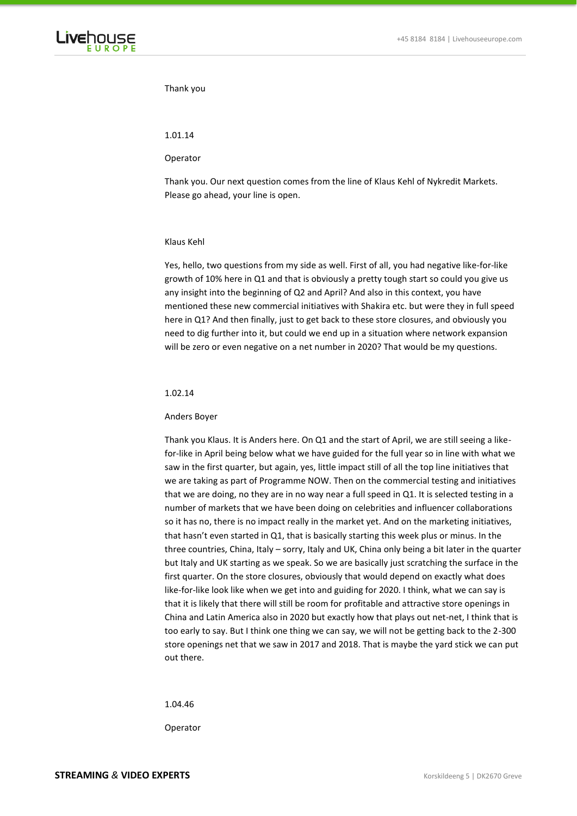

# Thank you

### 1.01.14

### Operator

Thank you. Our next question comes from the line of Klaus Kehl of Nykredit Markets. Please go ahead, your line is open.

### Klaus Kehl

Yes, hello, two questions from my side as well. First of all, you had negative like-for-like growth of 10% here in Q1 and that is obviously a pretty tough start so could you give us any insight into the beginning of Q2 and April? And also in this context, you have mentioned these new commercial initiatives with Shakira etc. but were they in full speed here in Q1? And then finally, just to get back to these store closures, and obviously you need to dig further into it, but could we end up in a situation where network expansion will be zero or even negative on a net number in 2020? That would be my questions.

### 1.02.14

### Anders Boyer

Thank you Klaus. It is Anders here. On Q1 and the start of April, we are still seeing a likefor-like in April being below what we have guided for the full year so in line with what we saw in the first quarter, but again, yes, little impact still of all the top line initiatives that we are taking as part of Programme NOW. Then on the commercial testing and initiatives that we are doing, no they are in no way near a full speed in Q1. It is selected testing in a number of markets that we have been doing on celebrities and influencer collaborations so it has no, there is no impact really in the market yet. And on the marketing initiatives, that hasn't even started in Q1, that is basically starting this week plus or minus. In the three countries, China, Italy – sorry, Italy and UK, China only being a bit later in the quarter but Italy and UK starting as we speak. So we are basically just scratching the surface in the first quarter. On the store closures, obviously that would depend on exactly what does like-for-like look like when we get into and guiding for 2020. I think, what we can say is that it is likely that there will still be room for profitable and attractive store openings in China and Latin America also in 2020 but exactly how that plays out net-net, I think that is too early to say. But I think one thing we can say, we will not be getting back to the 2-300 store openings net that we saw in 2017 and 2018. That is maybe the yard stick we can put out there.

1.04.46

Operator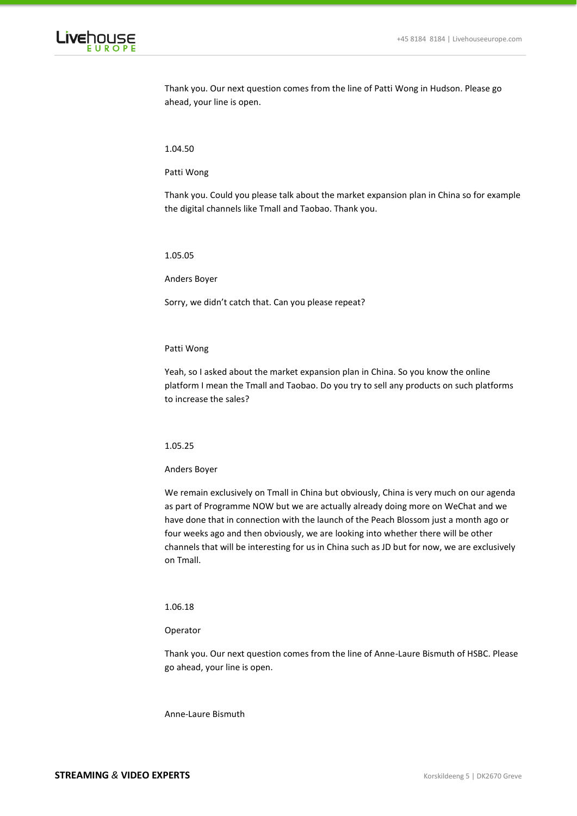

Thank you. Our next question comes from the line of Patti Wong in Hudson. Please go ahead, your line is open.

1.04.50

Patti Wong

Thank you. Could you please talk about the market expansion plan in China so for example the digital channels like Tmall and Taobao. Thank you.

1.05.05

Anders Boyer

Sorry, we didn't catch that. Can you please repeat?

# Patti Wong

Yeah, so I asked about the market expansion plan in China. So you know the online platform I mean the Tmall and Taobao. Do you try to sell any products on such platforms to increase the sales?

### 1.05.25

#### Anders Boyer

We remain exclusively on Tmall in China but obviously, China is very much on our agenda as part of Programme NOW but we are actually already doing more on WeChat and we have done that in connection with the launch of the Peach Blossom just a month ago or four weeks ago and then obviously, we are looking into whether there will be other channels that will be interesting for us in China such as JD but for now, we are exclusively on Tmall.

### 1.06.18

### Operator

Thank you. Our next question comes from the line of Anne-Laure Bismuth of HSBC. Please go ahead, your line is open.

Anne-Laure Bismuth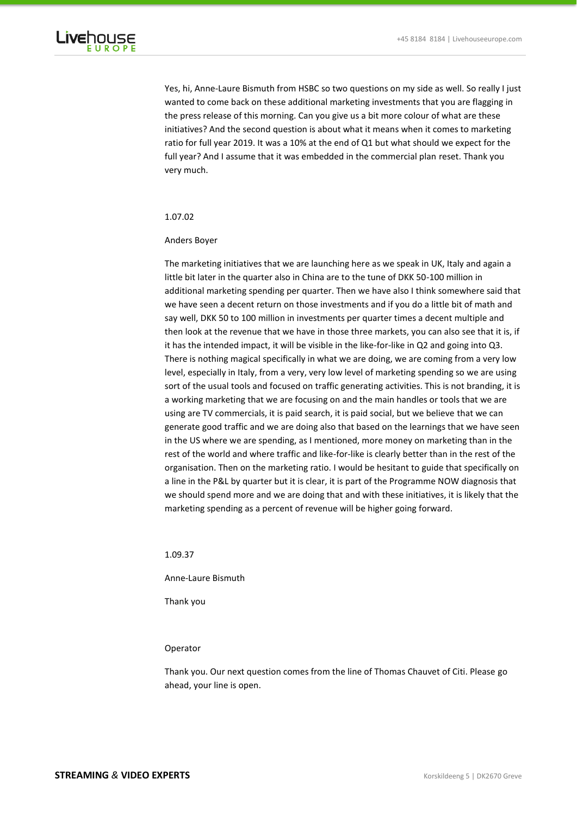

Yes, hi, Anne-Laure Bismuth from HSBC so two questions on my side as well. So really I just wanted to come back on these additional marketing investments that you are flagging in the press release of this morning. Can you give us a bit more colour of what are these initiatives? And the second question is about what it means when it comes to marketing ratio for full year 2019. It was a 10% at the end of Q1 but what should we expect for the full year? And I assume that it was embedded in the commercial plan reset. Thank you very much.

# 1.07.02

### Anders Boyer

The marketing initiatives that we are launching here as we speak in UK, Italy and again a little bit later in the quarter also in China are to the tune of DKK 50-100 million in additional marketing spending per quarter. Then we have also I think somewhere said that we have seen a decent return on those investments and if you do a little bit of math and say well, DKK 50 to 100 million in investments per quarter times a decent multiple and then look at the revenue that we have in those three markets, you can also see that it is, if it has the intended impact, it will be visible in the like-for-like in Q2 and going into Q3. There is nothing magical specifically in what we are doing, we are coming from a very low level, especially in Italy, from a very, very low level of marketing spending so we are using sort of the usual tools and focused on traffic generating activities. This is not branding, it is a working marketing that we are focusing on and the main handles or tools that we are using are TV commercials, it is paid search, it is paid social, but we believe that we can generate good traffic and we are doing also that based on the learnings that we have seen in the US where we are spending, as I mentioned, more money on marketing than in the rest of the world and where traffic and like-for-like is clearly better than in the rest of the organisation. Then on the marketing ratio. I would be hesitant to guide that specifically on a line in the P&L by quarter but it is clear, it is part of the Programme NOW diagnosis that we should spend more and we are doing that and with these initiatives, it is likely that the marketing spending as a percent of revenue will be higher going forward.

1.09.37

Anne-Laure Bismuth

Thank you

### Operator

Thank you. Our next question comes from the line of Thomas Chauvet of Citi. Please go ahead, your line is open.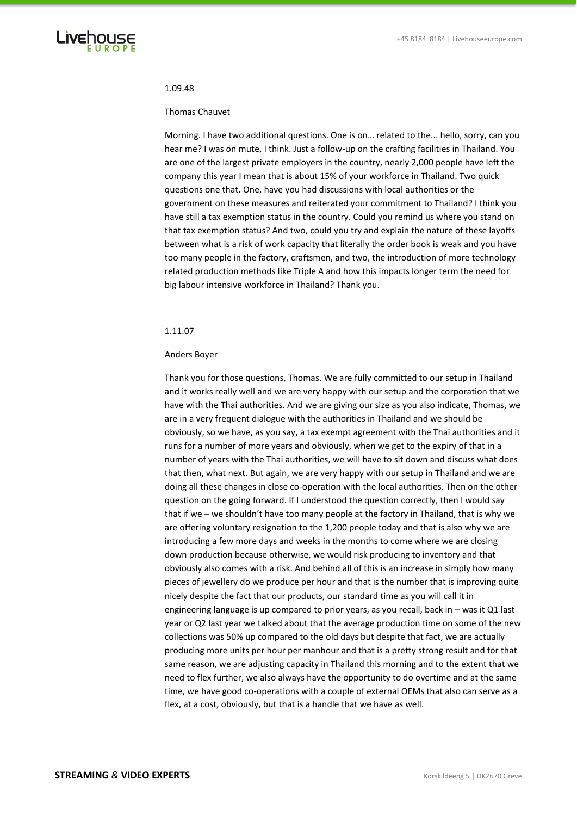#### 1.09.48

### Thomas Chauvet

Morning. I have two additional questions. One is on… related to the... hello, sorry, can you hear me? I was on mute, I think. Just a follow-up on the crafting facilities in Thailand. You are one of the largest private employers in the country, nearly 2,000 people have left the company this year I mean that is about 15% of your workforce in Thailand. Two quick questions one that. One, have you had discussions with local authorities or the government on these measures and reiterated your commitment to Thailand? I think you have still a tax exemption status in the country. Could you remind us where you stand on that tax exemption status? And two, could you try and explain the nature of these layoffs between what is a risk of work capacity that literally the order book is weak and you have too many people in the factory, craftsmen, and two, the introduction of more technology related production methods like Triple A and how this impacts longer term the need for big labour intensive workforce in Thailand? Thank you.

# 1.11.07

### Anders Boyer

Thank you for those questions, Thomas. We are fully committed to our setup in Thailand and it works really well and we are very happy with our setup and the corporation that we have with the Thai authorities. And we are giving our size as you also indicate, Thomas, we are in a very frequent dialogue with the authorities in Thailand and we should be obviously, so we have, as you say, a tax exempt agreement with the Thai authorities and it runs for a number of more years and obviously, when we get to the expiry of that in a number of years with the Thai authorities, we will have to sit down and discuss what does that then, what next. But again, we are very happy with our setup in Thailand and we are doing all these changes in close co-operation with the local authorities. Then on the other question on the going forward. If I understood the question correctly, then I would say that if we – we shouldn't have too many people at the factory in Thailand, that is why we are offering voluntary resignation to the 1,200 people today and that is also why we are introducing a few more days and weeks in the months to come where we are closing down production because otherwise, we would risk producing to inventory and that obviously also comes with a risk. And behind all of this is an increase in simply how many pieces of jewellery do we produce per hour and that is the number that is improving quite nicely despite the fact that our products, our standard time as you will call it in engineering language is up compared to prior years, as you recall, back in – was it Q1 last year or Q2 last year we talked about that the average production time on some of the new collections was 50% up compared to the old days but despite that fact, we are actually producing more units per hour per manhour and that is a pretty strong result and for that same reason, we are adjusting capacity in Thailand this morning and to the extent that we need to flex further, we also always have the opportunity to do overtime and at the same time, we have good co-operations with a couple of external OEMs that also can serve as a flex, at a cost, obviously, but that is a handle that we have as well.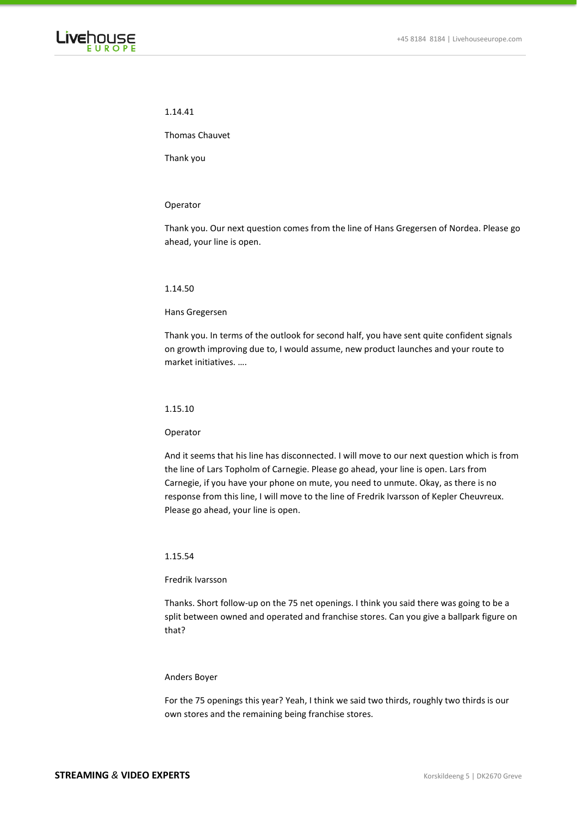

### 1.14.41

Thomas Chauvet

Thank you

### Operator

Thank you. Our next question comes from the line of Hans Gregersen of Nordea. Please go ahead, your line is open.

### 1.14.50

### Hans Gregersen

Thank you. In terms of the outlook for second half, you have sent quite confident signals on growth improving due to, I would assume, new product launches and your route to market initiatives. ….

# 1.15.10

#### Operator

And it seems that his line has disconnected. I will move to our next question which is from the line of Lars Topholm of Carnegie. Please go ahead, your line is open. Lars from Carnegie, if you have your phone on mute, you need to unmute. Okay, as there is no response from this line, I will move to the line of Fredrik Ivarsson of Kepler Cheuvreux. Please go ahead, your line is open.

# 1.15.54

## Fredrik Ivarsson

Thanks. Short follow-up on the 75 net openings. I think you said there was going to be a split between owned and operated and franchise stores. Can you give a ballpark figure on that?

#### Anders Boyer

For the 75 openings this year? Yeah, I think we said two thirds, roughly two thirds is our own stores and the remaining being franchise stores.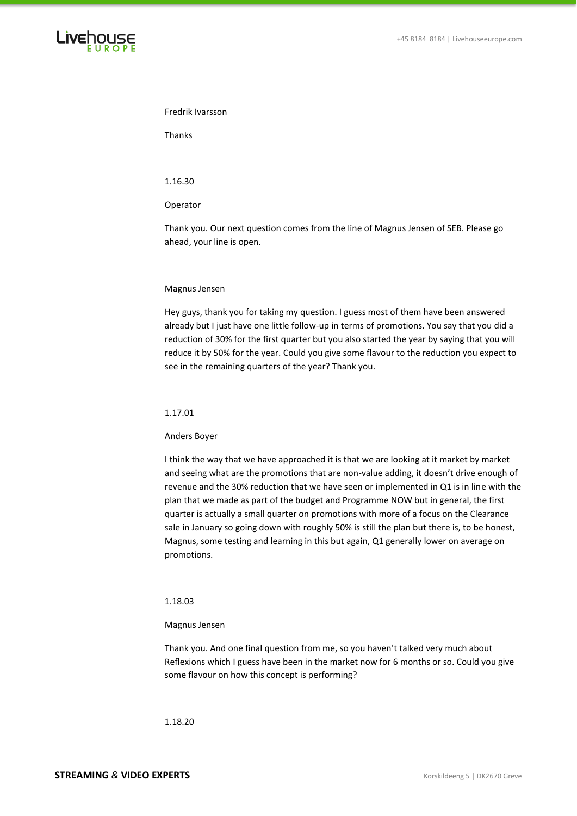

# Fredrik Ivarsson

Thanks

# 1.16.30

Operator

Thank you. Our next question comes from the line of Magnus Jensen of SEB. Please go ahead, your line is open.

### Magnus Jensen

Hey guys, thank you for taking my question. I guess most of them have been answered already but I just have one little follow-up in terms of promotions. You say that you did a reduction of 30% for the first quarter but you also started the year by saying that you will reduce it by 50% for the year. Could you give some flavour to the reduction you expect to see in the remaining quarters of the year? Thank you.

# 1.17.01

#### Anders Boyer

I think the way that we have approached it is that we are looking at it market by market and seeing what are the promotions that are non-value adding, it doesn't drive enough of revenue and the 30% reduction that we have seen or implemented in Q1 is in line with the plan that we made as part of the budget and Programme NOW but in general, the first quarter is actually a small quarter on promotions with more of a focus on the Clearance sale in January so going down with roughly 50% is still the plan but there is, to be honest, Magnus, some testing and learning in this but again, Q1 generally lower on average on promotions.

# 1.18.03

#### Magnus Jensen

Thank you. And one final question from me, so you haven't talked very much about Reflexions which I guess have been in the market now for 6 months or so. Could you give some flavour on how this concept is performing?

# 1.18.20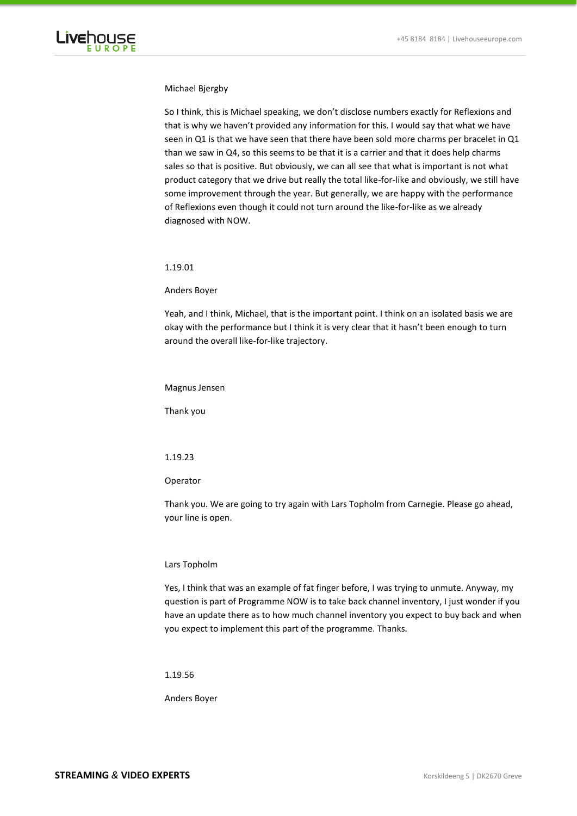

### Michael Bjergby

So I think, this is Michael speaking, we don't disclose numbers exactly for Reflexions and that is why we haven't provided any information for this. I would say that what we have seen in Q1 is that we have seen that there have been sold more charms per bracelet in Q1 than we saw in Q4, so this seems to be that it is a carrier and that it does help charms sales so that is positive. But obviously, we can all see that what is important is not what product category that we drive but really the total like-for-like and obviously, we still have some improvement through the year. But generally, we are happy with the performance of Reflexions even though it could not turn around the like-for-like as we already diagnosed with NOW.

# 1.19.01

#### Anders Boyer

Yeah, and I think, Michael, that is the important point. I think on an isolated basis we are okay with the performance but I think it is very clear that it hasn't been enough to turn around the overall like-for-like trajectory.

### Magnus Jensen

Thank you

### 1.19.23

Operator

Thank you. We are going to try again with Lars Topholm from Carnegie. Please go ahead, your line is open.

### Lars Topholm

Yes, I think that was an example of fat finger before, I was trying to unmute. Anyway, my question is part of Programme NOW is to take back channel inventory, I just wonder if you have an update there as to how much channel inventory you expect to buy back and when you expect to implement this part of the programme. Thanks.

1.19.56

Anders Boyer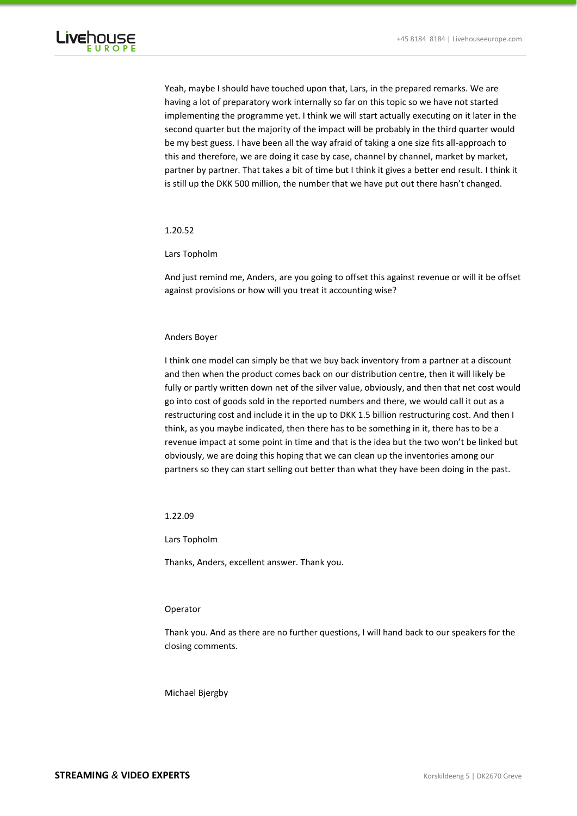

Yeah, maybe I should have touched upon that, Lars, in the prepared remarks. We are having a lot of preparatory work internally so far on this topic so we have not started implementing the programme yet. I think we will start actually executing on it later in the second quarter but the majority of the impact will be probably in the third quarter would be my best guess. I have been all the way afraid of taking a one size fits all-approach to this and therefore, we are doing it case by case, channel by channel, market by market, partner by partner. That takes a bit of time but I think it gives a better end result. I think it is still up the DKK 500 million, the number that we have put out there hasn't changed.

# 1.20.52

### Lars Topholm

And just remind me, Anders, are you going to offset this against revenue or will it be offset against provisions or how will you treat it accounting wise?

### Anders Boyer

I think one model can simply be that we buy back inventory from a partner at a discount and then when the product comes back on our distribution centre, then it will likely be fully or partly written down net of the silver value, obviously, and then that net cost would go into cost of goods sold in the reported numbers and there, we would call it out as a restructuring cost and include it in the up to DKK 1.5 billion restructuring cost. And then I think, as you maybe indicated, then there has to be something in it, there has to be a revenue impact at some point in time and that is the idea but the two won't be linked but obviously, we are doing this hoping that we can clean up the inventories among our partners so they can start selling out better than what they have been doing in the past.

1.22.09

Lars Topholm

Thanks, Anders, excellent answer. Thank you.

### Operator

Thank you. And as there are no further questions, I will hand back to our speakers for the closing comments.

### Michael Bjergby